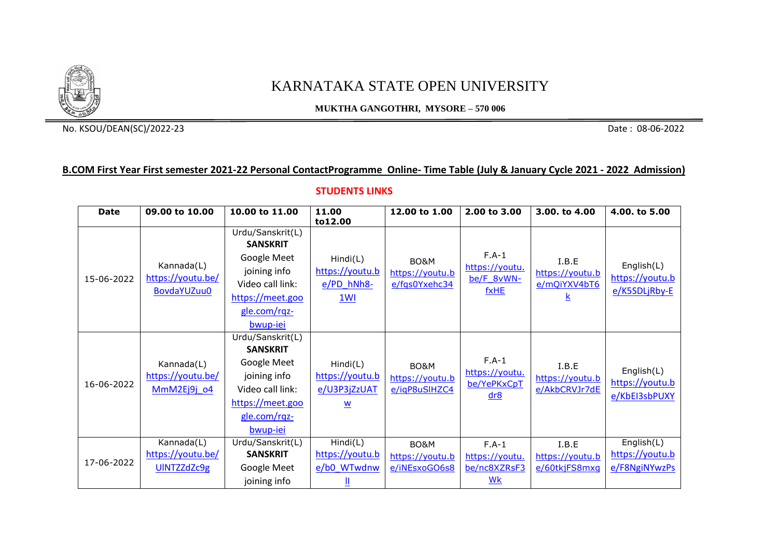

## KARNATAKA STATE OPEN UNIVERSITY

**MUKTHA GANGOTHRI, MYSORE – 570 006**

No. KSOU/DEAN(SC)/2022-23 Date : 08-06-2022

## **B.COM First Year First semester 2021-22 Personal ContactProgramme Online- Time Table (July & January Cycle 2021 - 2022 Admission)**

## **STUDENTS LINKS**

| <b>Date</b> | 09.00 to 10.00                                        | 10.00 to 11.00                                                                                                                         | 11.00<br>to12.00                                  | 12.00 to 1.00                            | 2.00 to 3.00                                                | 3.00, to 4.00                             | 4.00. to 5.00                                  |
|-------------|-------------------------------------------------------|----------------------------------------------------------------------------------------------------------------------------------------|---------------------------------------------------|------------------------------------------|-------------------------------------------------------------|-------------------------------------------|------------------------------------------------|
| 15-06-2022  | Kannada(L)<br>https://youtu.be/<br><b>BovdaYUZuu0</b> | Urdu/Sanskrit(L)<br><b>SANSKRIT</b><br>Google Meet<br>joining info<br>Video call link:<br>https://meet.goo<br>gle.com/rqz-<br>bwup-iei | Hind(L)<br>https://youtu.b<br>$e/PD$ hNh8-<br>1Wl | BO&M<br>https://youtu.b<br>e/fqs0Yxehc34 | $F.A-1$<br>https://youtu.<br>be/F 8vWN-<br>fxHE             | I.B.E<br>https://youtu.b<br>e/mQiYXV4bT6  | English(L)<br>https://youtu.b<br>e/K5SDLjRby-E |
| 16-06-2022  | Kannada(L)<br>https://youtu.be/<br>MmM2Ej9j o4        | Urdu/Sanskrit(L)<br><b>SANSKRIT</b><br>Google Meet<br>joining info<br>Video call link:<br>https://meet.goo<br>gle.com/rqz-<br>bwup-iei | Hind(L)<br>https://youtu.b<br>e/U3P3jZzUAT<br>W   | BO&M<br>https://youtu.b<br>e/igP8uSIHZC4 | $F.A-1$<br>https://youtu.<br>be/YePKxCpT<br>dr8             | I.B.E<br>https://youtu.b<br>e/AkbCRVJr7dE | English(L)<br>https://youtu.b<br>e/KbEI3sbPUXY |
| 17-06-2022  | Kannada(L)<br>https://youtu.be/<br>UINTZZdZc9g        | Urdu/Sanskrit(L)<br><b>SANSKRIT</b><br>Google Meet<br>joining info                                                                     | Hind(C)<br>https://youtu.b<br>e/b0_WTwdnw         | BO&M<br>https://youtu.b<br>e/iNEsxoGO6s8 | $F.A-1$<br>https://youtu.<br>be/nc8XZRsF3<br>W <sub>k</sub> | I.B.E<br>https://youtu.b<br>e/60tkjFS8mxq | English(L)<br>https://youtu.b<br>e/F8NgiNYwzPs |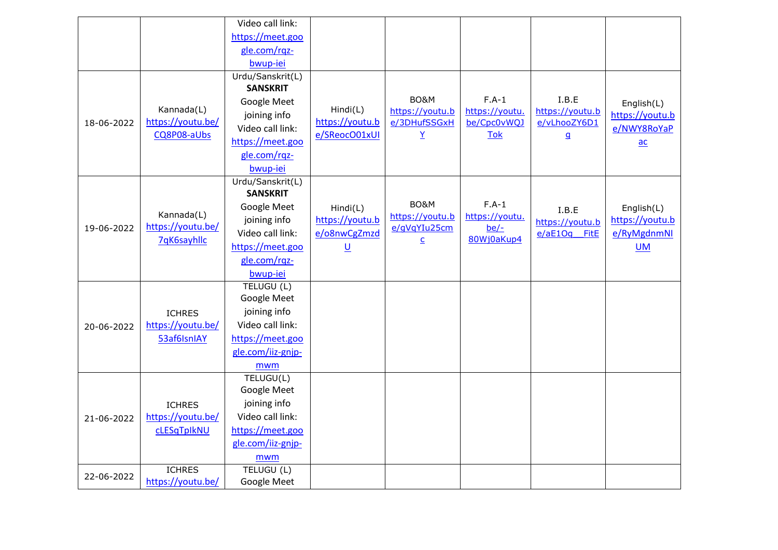|            |                                                | Video call link:  |                                              |                                              |                                                        |                                                          |                                              |
|------------|------------------------------------------------|-------------------|----------------------------------------------|----------------------------------------------|--------------------------------------------------------|----------------------------------------------------------|----------------------------------------------|
|            |                                                | https://meet.goo  |                                              |                                              |                                                        |                                                          |                                              |
|            |                                                | gle.com/rqz-      |                                              |                                              |                                                        |                                                          |                                              |
|            |                                                | bwup-iei          |                                              |                                              |                                                        |                                                          |                                              |
|            |                                                | Urdu/Sanskrit(L)  |                                              |                                              |                                                        |                                                          |                                              |
|            | Kannada(L)<br>https://youtu.be/<br>CQ8P08-aUbs | <b>SANSKRIT</b>   | Hindi(L)<br>https://youtu.b<br>e/SReocO01xUI | BO&M<br>https://youtu.b<br>e/3DHufSSGxH<br>Y | $F.A-1$<br>https://youtu.<br>be/Cpc0vWQJ<br><b>Tok</b> | I.B.E<br>https://youtu.b<br>e/vLhooZY6D1<br>$\mathbf{q}$ | English(L)<br>https://youtu.b<br>e/NWY8RoYaP |
|            |                                                | Google Meet       |                                              |                                              |                                                        |                                                          |                                              |
|            |                                                | joining info      |                                              |                                              |                                                        |                                                          |                                              |
| 18-06-2022 |                                                | Video call link:  |                                              |                                              |                                                        |                                                          |                                              |
|            |                                                | https://meet.goo  |                                              |                                              |                                                        |                                                          | $\underline{ac}$                             |
|            |                                                | gle.com/rqz-      |                                              |                                              |                                                        |                                                          |                                              |
|            |                                                | bwup-iei          |                                              |                                              |                                                        |                                                          |                                              |
|            |                                                | Urdu/Sanskrit(L)  |                                              |                                              |                                                        |                                                          |                                              |
|            | Kannada(L)<br>https://youtu.be/<br>7qK6sayhllc | <b>SANSKRIT</b>   |                                              |                                              |                                                        |                                                          |                                              |
|            |                                                | Google Meet       | Hindi(L)                                     | BO&M                                         | $F.A-1$                                                | I.B.E                                                    | English(L)                                   |
| 19-06-2022 |                                                | joining info      | https://youtu.b                              | https://youtu.b<br>e/gVgYIu25cm              | https://youtu.<br>$be/-$                               | https://youtu.b                                          | https://youtu.b                              |
|            |                                                | Video call link:  | e/o8nwCgZmzd                                 | $\underline{\mathsf{C}}$                     | 80Wj0aKup4                                             | e/aE1Oq FitE                                             | e/RyMgdnmNl                                  |
|            |                                                | https://meet.goo  | $\underline{\mathsf{U}}$                     |                                              |                                                        |                                                          | <b>UM</b>                                    |
|            |                                                | gle.com/rqz-      |                                              |                                              |                                                        |                                                          |                                              |
|            |                                                | bwup-iei          |                                              |                                              |                                                        |                                                          |                                              |
|            | <b>ICHRES</b>                                  | TELUGU (L)        |                                              |                                              |                                                        |                                                          |                                              |
|            |                                                | Google Meet       |                                              |                                              |                                                        |                                                          |                                              |
|            |                                                | joining info      |                                              |                                              |                                                        |                                                          |                                              |
| 20-06-2022 | https://youtu.be/                              | Video call link:  |                                              |                                              |                                                        |                                                          |                                              |
|            | 53af6IsnIAY                                    | https://meet.goo  |                                              |                                              |                                                        |                                                          |                                              |
|            |                                                | gle.com/iiz-gnjp- |                                              |                                              |                                                        |                                                          |                                              |
|            |                                                | mwm               |                                              |                                              |                                                        |                                                          |                                              |
|            |                                                | TELUGU(L)         |                                              |                                              |                                                        |                                                          |                                              |
|            |                                                | Google Meet       |                                              |                                              |                                                        |                                                          |                                              |
|            | <b>ICHRES</b>                                  | joining info      |                                              |                                              |                                                        |                                                          |                                              |
| 21-06-2022 | https://youtu.be/                              | Video call link:  |                                              |                                              |                                                        |                                                          |                                              |
|            | cLESqTpIkNU                                    | https://meet.goo  |                                              |                                              |                                                        |                                                          |                                              |
|            |                                                | gle.com/iiz-gnjp- |                                              |                                              |                                                        |                                                          |                                              |
|            |                                                | mwm               |                                              |                                              |                                                        |                                                          |                                              |
| 22-06-2022 | <b>ICHRES</b>                                  | TELUGU (L)        |                                              |                                              |                                                        |                                                          |                                              |
|            | https://youtu.be/                              | Google Meet       |                                              |                                              |                                                        |                                                          |                                              |